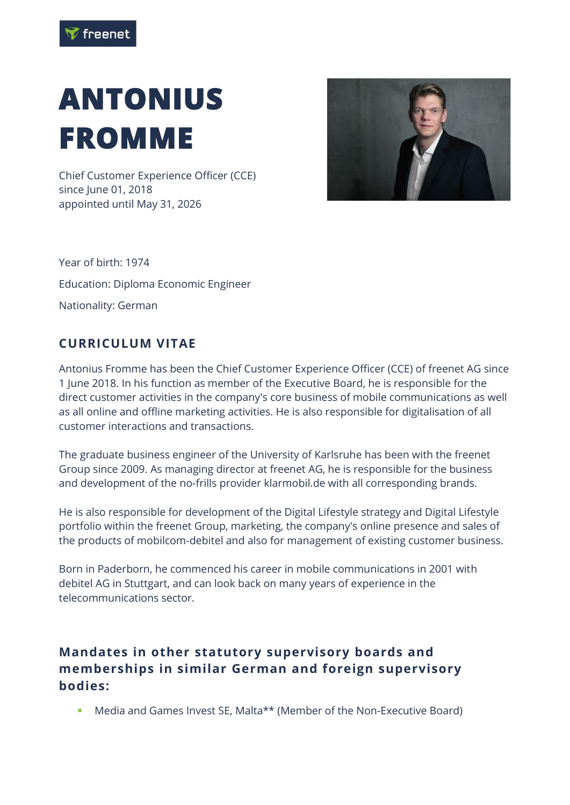## **ANTONIUS FROMME**

Chief Customer Experience Officer (CCE) since June 01, 2018 appointed until May 31, 2026



Year of birth: 1974 Education: Diploma Economic Engineer Nationality: German

## **CURRICULUM VITAE**

Antonius Fromme has been the Chief Customer Experience Officer (CCE) of freenet AG since 1 June 2018. In his function as member of the Executive Board, he is responsible for the direct customer activities in the company's core business of mobile communications as well as all online and offline marketing activities. He is also responsible for digitalisation of all customer interactions and transactions.

The graduate business engineer of the University of Karlsruhe has been with the freenet Group since 2009. As managing director at freenet AG, he is responsible for the business and development of the no-frills provider klarmobil.de with all corresponding brands.

He is also responsible for development of the Digital Lifestyle strategy and Digital Lifestyle portfolio within the freenet Group, marketing, the company's online presence and sales of the products of mobilcom-debitel and also for management of existing customer business.

Born in Paderborn, he commenced his career in mobile communications in 2001 with debitel AG in Stuttgart, and can look back on many years of experience in the telecommunications sector.

## **Mandates in other statutory supervisory boards and memberships in similar German and foreign supervisory bodies:**

■ Media and Games Invest SE, Malta<sup>\*\*</sup> (Member of the Non-Executive Board)